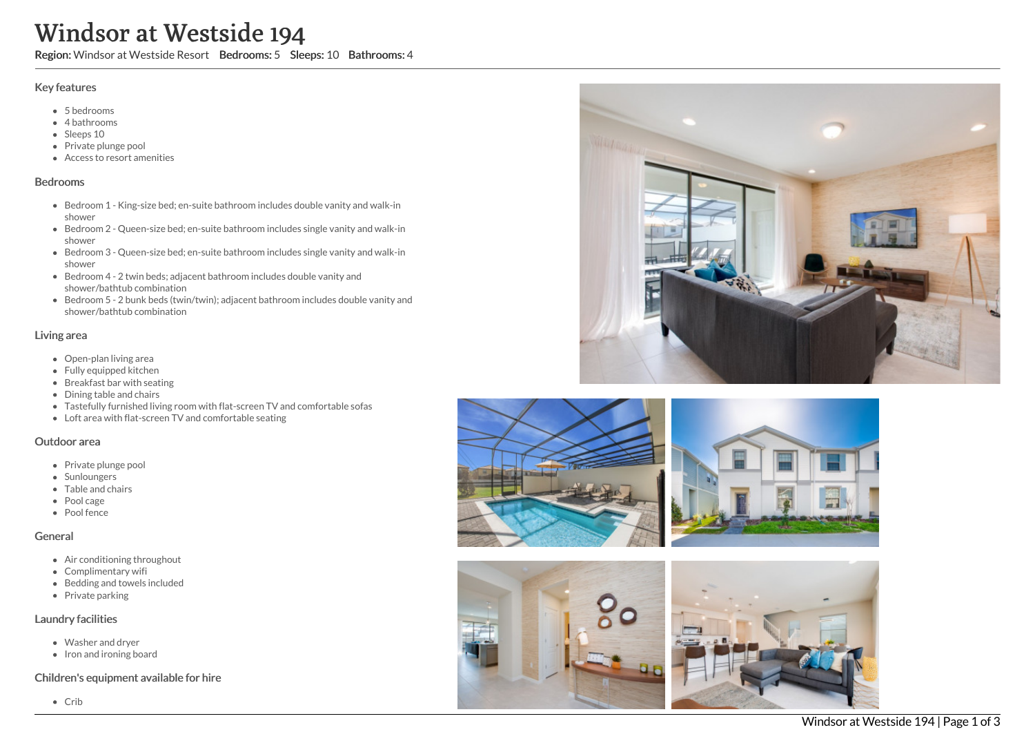# Windsor at Westside 194

Region: Windsor at Westside Resort Bedrooms: 5 Sleeps: 10 Bathrooms: 4

### Key features

- 5 b e d r o o m s
- 4 bathrooms
- Sleeps 10
- Private plunge pool
- Access to resort amenities

#### **Bedrooms**

- Bedroom 1 King-size bed; en-suite bathroom includes double vanity and walk-in s h o w e r
- Bedroom 2 Queen-size bed; en-suite bathroom includes single vanity and walk-in s h o w e r
- Bedroom 3 Queen-size bed; en-suite bathroom includes single vanity and walk-in s h o w e r
- Bedroom 4 2 twin beds; adjacent bathroom includes double vanity and shower/bathtub combination
- Bedroom 5 2 bunk beds (twin/twin); adjacent bathroom includes double vanity and shower/bathtub combination

#### Living area

- Open-plan living area
- Fully equipped kitchen
- Breakfast bar with seating
- Dining table and chairs
- Tastefully furnished living room with flat-screen TV and comfortable sofas
- Loft area with flat-screen TV and comfortable seating

#### Outdoor area

- Private plunge pool
- Sunloungers
- Table and chairs
- Pool cage
- Pool fence

#### General

- Air conditioning throughout
- Complimentary wifi
- Bedding and towels in clu d e d
- Private parking

#### Laundry facilities

- Washer and dryer
- Iron and ironing board

#### Children's equipment available for hire







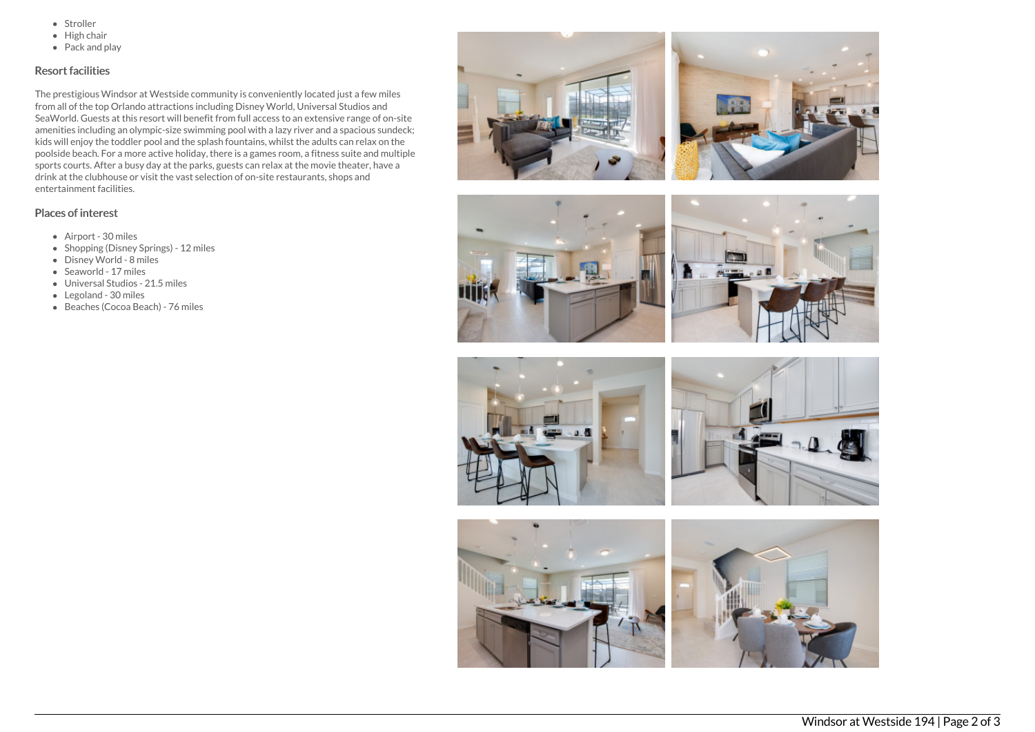- Stroller
- $\bullet$  High chair
- Pack and play

## Resort facilities

The prestigious Windsor at Westside community is conveniently located just a few miles from all of the top Orlando attractions including Disney World, Universal Studios and SeaWorld. Guests at this resort will benefit from full access to an extensive range of on-site amenities including an olympic-size swimming pool with a lazy river and a spacious sundeck; kids will enjoy the toddler pool and the splash fountains, whilst the adults can relax on the poolside beach. For a more active holiday, there is a games room, a fitness suite and multiple sports courts. After a busy day at the parks, guests can relax at the movie theater, have a drink at the clubhouse or visit the vast selection of on-site restaurants, shops and entertainment facilities.

## Places of interest

- Airport 30 miles
- Shopping (Disney Springs) 12 miles
- Disney World 8 miles
- Seaworld 17 miles
- Universal Studios 21.5 miles
- Legoland 30 miles
- Beaches (Cocoa Beach) 76 miles